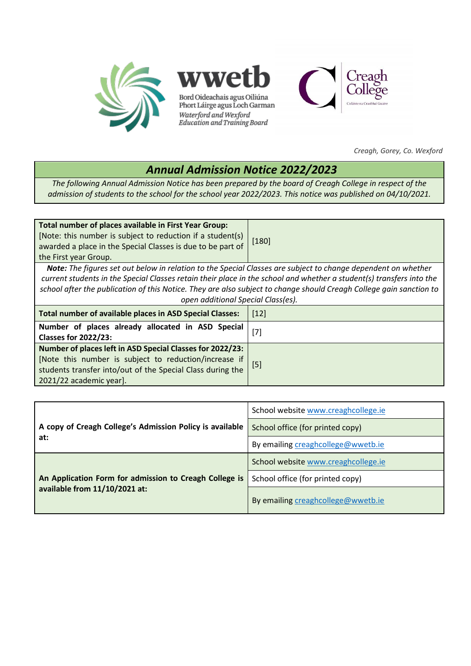

*Creagh, Gorey, Co. Wexford*

## *Annual Admission Notice 2022/2023*

*The following Annual Admission Notice has been prepared by the board of Creagh College in respect of the admission of students to the school for the school year 2022/2023. This notice was published on 04/10/2021.*

| Total number of places available in First Year Group:<br>[Note: this number is subject to reduction if a student(s)<br>awarded a place in the Special Classes is due to be part of                                                    | $[180]$ |  |
|---------------------------------------------------------------------------------------------------------------------------------------------------------------------------------------------------------------------------------------|---------|--|
| the First year Group.                                                                                                                                                                                                                 |         |  |
| Note: The figures set out below in relation to the Special Classes are subject to change dependent on whether<br>current students in the Special Classes retain their place in the school and whether a student(s) transfers into the |         |  |
| school after the publication of this Notice. They are also subject to change should Creagh College gain sanction to                                                                                                                   |         |  |

*open additional Special Class(es).* **Total number of available places in ASD Special Classes:** [12] **Number of places already allocated in ASD Special Classes for 2022/23:** [7] **Number of places left in ASD Special Classes for 2022/23:** [Note this number is subject to reduction/increase if students transfer into/out of the Special Class during the 2021/22 academic year]. [5]

| A copy of Creagh College's Admission Policy is available<br>at:                         | School website www.creaghcollege.ie |
|-----------------------------------------------------------------------------------------|-------------------------------------|
|                                                                                         | School office (for printed copy)    |
|                                                                                         | By emailing creaghcollege@wwetb.ie  |
| An Application Form for admission to Creagh College is<br>available from 11/10/2021 at: | School website www.creaghcollege.ie |
|                                                                                         | School office (for printed copy)    |
|                                                                                         | By emailing creaghcollege@wwetb.ie  |